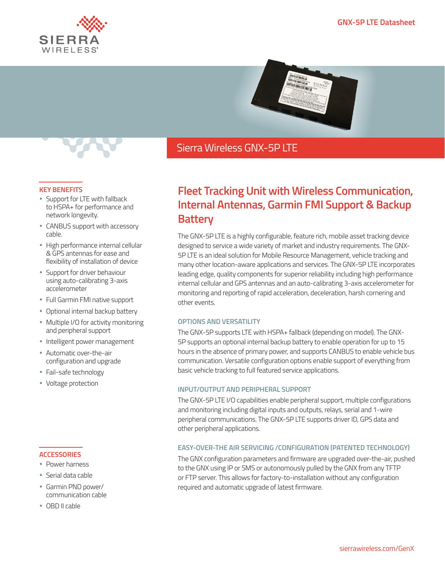



## Sierra Wireless GNX-5P LTE

#### **KEY BENEFITS**

- Support for LTE with fallback to HSPA+ for performance and network longevity.
- CANBUS support with accessory cable.
- High performance internal cellular & GPS antennas for ease and flexibility of installation of device
- Support for driver behaviour using auto-calibrating 3-axis accelerometer
- Full Garmin FMI native support
- Optional internal backup battery
- Multiple I/O for activity monitoring and peripheral support
- Intelligent power management
- Automatic over-the-air configuration and upgrade
- Fail-safe technology
- Voltage protection

#### **ACCESSORIES**

- Power harness
- Serial data cable
- Garmin PND power/ communication cable
- OBD II cable

# **Fleet Tracking Unit with Wireless Communication, Internal Antennas, Garmin FMI Support & Backup Battery**

The GNX-5P LTE is a highly configurable, feature rich, mobile asset tracking device designed to service a wide variety of market and industry requirements. The GNX-5P LTE is an ideal solution for Mobile Resource Management, vehicle tracking and many other location-aware applications and services. The GNX-5P LTE incorporates leading edge, quality components for superior reliability including high performance internal cellular and GPS antennas and an auto-calibrating 3-axis accelerometer for monitoring and reporting of rapid acceleration, deceleration, harsh cornering and other events.

### **OPTIONS AND VERSATILITY**

The GNX-5P supports LTE with HSPA+ fallback (depending on model). The GNX-5P supports an optional internal backup battery to enable operation for up to 15 hours in the absence of primary power, and supports CANBUS to enable vehicle bus communication. Versatile configuration options enable support of everything from basic vehicle tracking to full featured service applications.

### **INPUT/OUTPUT AND PERIPHERAL SUPPORT**

The GNX-5P LTE I/O capabilities enable peripheral support, multiple configurations and monitoring including digital inputs and outputs, relays, serial and 1-wire peripheral communications. The GNX-5P LTE supports driver ID, GPS data and other peripheral applications.

## **EASY-OVER-THE AIR SERVICING /CONFIGURATION (PATENTED TECHNOLOGY)**

The GNX configuration parameters and firmware are upgraded over-the-air, pushed to the GNX using IP or SMS or autonomously pulled by the GNX from any TFTP or FTP server. This allows for factory-to-installation without any configuration required and automatic upgrade of latest firmware.